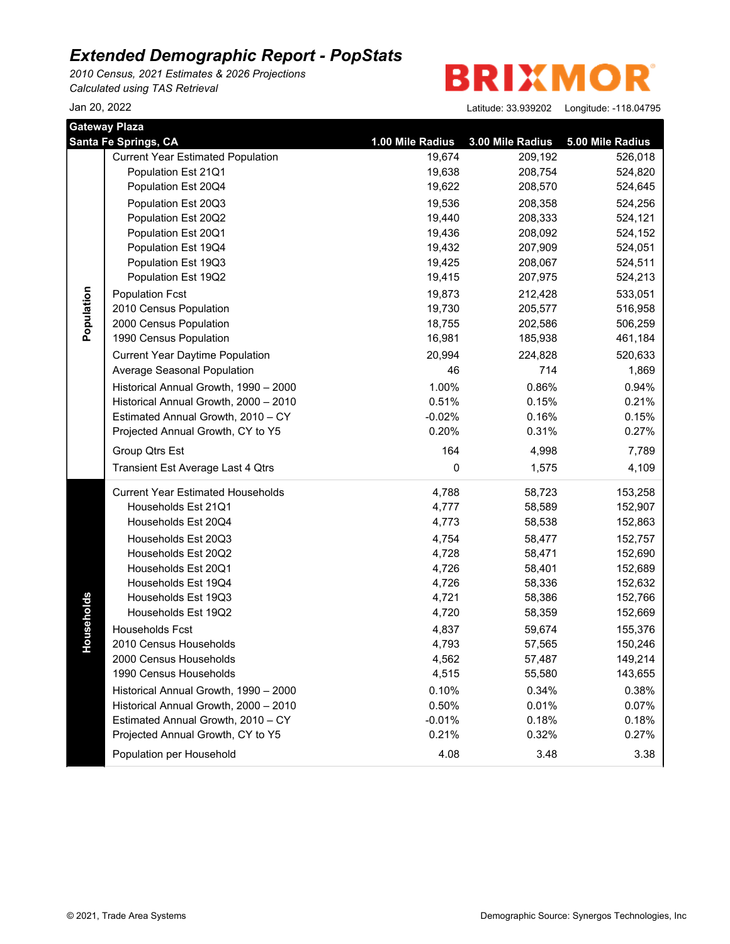*2010 Census, 2021 Estimates & 2026 Projections Calculated using TAS Retrieval*

**BRIXMOR** 

| <b>Gateway Plaza</b> |                                          |                  |                  |                  |  |
|----------------------|------------------------------------------|------------------|------------------|------------------|--|
|                      | <b>Santa Fe Springs, CA</b>              | 1.00 Mile Radius | 3.00 Mile Radius | 5.00 Mile Radius |  |
|                      | <b>Current Year Estimated Population</b> | 19,674           | 209,192          | 526,018          |  |
|                      | Population Est 21Q1                      | 19,638           | 208,754          | 524,820          |  |
|                      | Population Est 20Q4                      | 19,622           | 208,570          | 524,645          |  |
|                      | Population Est 20Q3                      | 19,536           | 208,358          | 524,256          |  |
|                      | Population Est 20Q2                      | 19,440           | 208,333          | 524,121          |  |
|                      | Population Est 20Q1                      | 19,436           | 208,092          | 524,152          |  |
|                      | Population Est 19Q4                      | 19,432           | 207,909          | 524,051          |  |
|                      | Population Est 19Q3                      | 19,425           | 208,067          | 524,511          |  |
|                      | Population Est 19Q2                      | 19,415           | 207,975          | 524,213          |  |
| Population           | <b>Population Fcst</b>                   | 19,873           | 212,428          | 533,051          |  |
|                      | 2010 Census Population                   | 19,730           | 205,577          | 516,958          |  |
|                      | 2000 Census Population                   | 18,755           | 202,586          | 506,259          |  |
|                      | 1990 Census Population                   | 16,981           | 185,938          | 461,184          |  |
|                      | <b>Current Year Daytime Population</b>   | 20,994           | 224,828          | 520,633          |  |
|                      | Average Seasonal Population              | 46               | 714              | 1,869            |  |
|                      | Historical Annual Growth, 1990 - 2000    | 1.00%            | 0.86%            | 0.94%            |  |
|                      | Historical Annual Growth, 2000 - 2010    | 0.51%            | 0.15%            | 0.21%            |  |
|                      | Estimated Annual Growth, 2010 - CY       | $-0.02%$         | 0.16%            | 0.15%            |  |
|                      | Projected Annual Growth, CY to Y5        | 0.20%            | 0.31%            | 0.27%            |  |
|                      | Group Qtrs Est                           | 164              | 4,998            | 7,789            |  |
|                      | Transient Est Average Last 4 Qtrs        | 0                | 1,575            | 4,109            |  |
|                      | <b>Current Year Estimated Households</b> | 4,788            | 58,723           | 153,258          |  |
|                      | Households Est 21Q1                      | 4,777            | 58,589           | 152,907          |  |
|                      | Households Est 20Q4                      | 4,773            | 58,538           | 152,863          |  |
|                      | Households Est 20Q3                      | 4,754            | 58,477           | 152,757          |  |
|                      | Households Est 20Q2                      | 4,728            | 58,471           | 152,690          |  |
|                      | Households Est 20Q1                      | 4,726            | 58,401           | 152,689          |  |
|                      | Households Est 19Q4                      | 4,726            | 58,336           | 152,632          |  |
|                      | Households Est 19Q3                      | 4,721            | 58,386           | 152,766          |  |
| Households           | Households Est 19Q2                      | 4,720            | 58,359           | 152,669          |  |
|                      | Households Fcst                          | 4,837            | 59,674           | 155,376          |  |
|                      | 2010 Census Households                   | 4,793            | 57,565           | 150,246          |  |
|                      | 2000 Census Households                   | 4,562            | 57,487           | 149,214          |  |
|                      | 1990 Census Households                   | 4,515            | 55,580           | 143,655          |  |
|                      | Historical Annual Growth, 1990 - 2000    | 0.10%            | 0.34%            | 0.38%            |  |
|                      | Historical Annual Growth, 2000 - 2010    | 0.50%            | 0.01%            | 0.07%            |  |
|                      | Estimated Annual Growth, 2010 - CY       | $-0.01%$         | 0.18%            | 0.18%            |  |
|                      | Projected Annual Growth, CY to Y5        | 0.21%            | 0.32%            | 0.27%            |  |
|                      | Population per Household                 | 4.08             | 3.48             | 3.38             |  |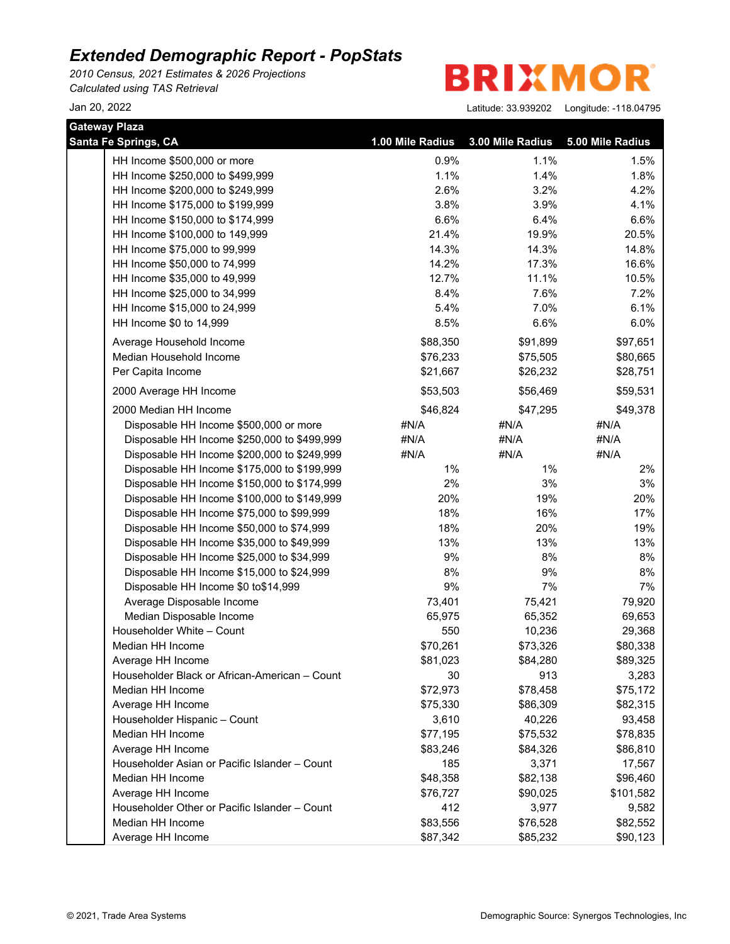*2010 Census, 2021 Estimates & 2026 Projections Calculated using TAS Retrieval*

**BRIXMOR** 

| <b>Gateway Plaza</b>                          |                  |                  |                  |
|-----------------------------------------------|------------------|------------------|------------------|
| Santa Fe Springs, CA                          | 1.00 Mile Radius | 3.00 Mile Radius | 5.00 Mile Radius |
| HH Income \$500,000 or more                   | 0.9%             | 1.1%             | 1.5%             |
| HH Income \$250,000 to \$499,999              | 1.1%             | 1.4%             | 1.8%             |
| HH Income \$200,000 to \$249,999              | 2.6%             | 3.2%             | 4.2%             |
| HH Income \$175,000 to \$199,999              | 3.8%             | 3.9%             | 4.1%             |
| HH Income \$150,000 to \$174,999              | 6.6%             | 6.4%             | 6.6%             |
| HH Income \$100,000 to 149,999                | 21.4%            | 19.9%            | 20.5%            |
| HH Income \$75,000 to 99,999                  | 14.3%            | 14.3%            | 14.8%            |
| HH Income \$50,000 to 74,999                  | 14.2%            | 17.3%            | 16.6%            |
| HH Income \$35,000 to 49,999                  | 12.7%            | 11.1%            | 10.5%            |
| HH Income \$25,000 to 34,999                  | 8.4%             | 7.6%             | 7.2%             |
| HH Income \$15,000 to 24,999                  | 5.4%             | 7.0%             | 6.1%             |
| HH Income \$0 to 14,999                       | 8.5%             | 6.6%             | 6.0%             |
| Average Household Income                      | \$88,350         | \$91,899         | \$97,651         |
| Median Household Income                       | \$76,233         | \$75,505         | \$80,665         |
| Per Capita Income                             | \$21,667         | \$26,232         | \$28,751         |
| 2000 Average HH Income                        | \$53,503         | \$56,469         | \$59,531         |
| 2000 Median HH Income                         | \$46,824         | \$47,295         | \$49,378         |
| Disposable HH Income \$500,000 or more        | #N/A             | #N/A             | #N/A             |
| Disposable HH Income \$250,000 to \$499,999   | #N/A             | #N/A             | #N/A             |
| Disposable HH Income \$200,000 to \$249,999   | #N/A             | #N/A             | #N/A             |
| Disposable HH Income \$175,000 to \$199,999   | $1\%$            | $1\%$            | 2%               |
| Disposable HH Income \$150,000 to \$174,999   | 2%               | 3%               | 3%               |
| Disposable HH Income \$100,000 to \$149,999   | 20%              | 19%              | 20%              |
| Disposable HH Income \$75,000 to \$99,999     | 18%              | 16%              | 17%              |
| Disposable HH Income \$50,000 to \$74,999     | 18%              | 20%              | 19%              |
| Disposable HH Income \$35,000 to \$49,999     | 13%              | 13%              | 13%              |
| Disposable HH Income \$25,000 to \$34,999     | 9%               | 8%               | 8%               |
| Disposable HH Income \$15,000 to \$24,999     | 8%               | 9%               | 8%               |
| Disposable HH Income \$0 to\$14,999           | 9%               | 7%               | 7%               |
| Average Disposable Income                     | 73,401           | 75,421           | 79,920           |
| Median Disposable Income                      | 65,975           | 65,352           | 69,653           |
| Householder White - Count                     | 550              | 10,236           | 29,368           |
| Median HH Income                              | \$70,261         | \$73,326         | \$80,338         |
| Average HH Income                             | \$81,023         | \$84,280         | \$89,325         |
| Householder Black or African-American - Count | 30               | 913              | 3,283            |
| Median HH Income                              | \$72,973         | \$78,458         | \$75,172         |
| Average HH Income                             | \$75,330         | \$86,309         | \$82,315         |
| Householder Hispanic - Count                  | 3,610            | 40,226           | 93,458           |
| Median HH Income                              | \$77,195         | \$75,532         | \$78,835         |
| Average HH Income                             | \$83,246         | \$84,326         | \$86,810         |
| Householder Asian or Pacific Islander - Count | 185              | 3,371            | 17,567           |
| Median HH Income                              | \$48,358         | \$82,138         | \$96,460         |
| Average HH Income                             | \$76,727         | \$90,025         | \$101,582        |
| Householder Other or Pacific Islander - Count | 412              | 3,977            | 9,582            |
| Median HH Income                              | \$83,556         | \$76,528         | \$82,552         |
| Average HH Income                             | \$87,342         | \$85,232         | \$90,123         |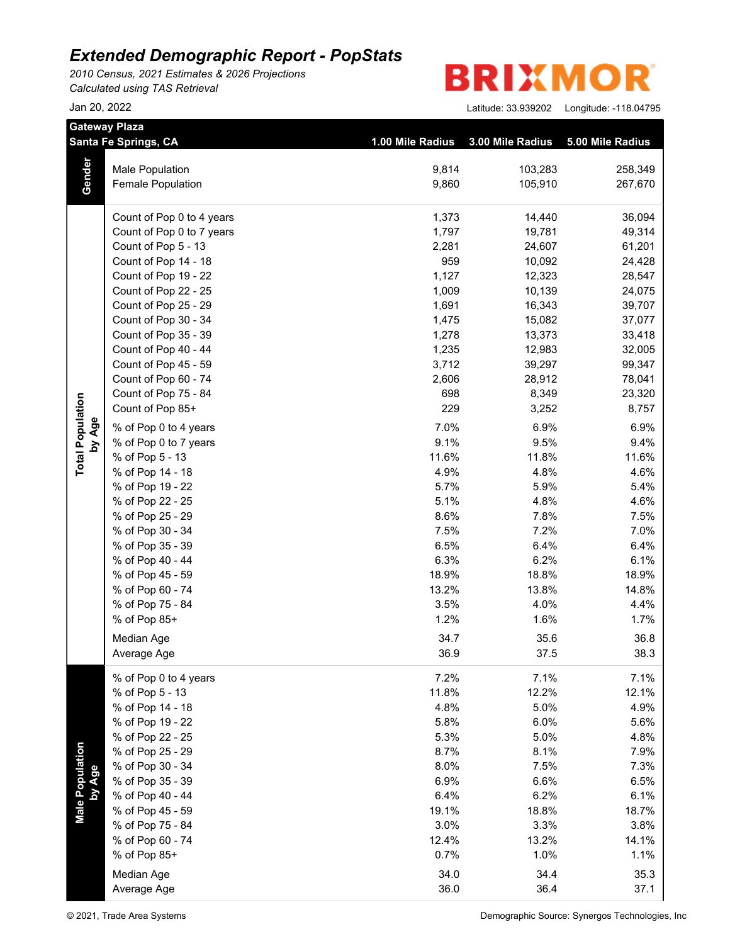*2010 Census, 2021 Estimates & 2026 Projections Calculated using TAS Retrieval*

| <b>BRIXMOR®</b> |
|-----------------|
|-----------------|

|                           | <b>Gateway Plaza</b>      |                  |                  |                  |
|---------------------------|---------------------------|------------------|------------------|------------------|
|                           | Santa Fe Springs, CA      | 1.00 Mile Radius | 3.00 Mile Radius | 5.00 Mile Radius |
|                           | <b>Male Population</b>    | 9,814            | 103,283          | 258,349          |
| Gender                    | <b>Female Population</b>  | 9,860            | 105,910          | 267,670          |
|                           | Count of Pop 0 to 4 years | 1,373            | 14,440           | 36,094           |
|                           | Count of Pop 0 to 7 years | 1,797            | 19,781           | 49,314           |
|                           | Count of Pop 5 - 13       | 2,281            | 24,607           | 61,201           |
|                           | Count of Pop 14 - 18      | 959              | 10,092           | 24,428           |
|                           | Count of Pop 19 - 22      | 1,127            | 12,323           | 28,547           |
|                           | Count of Pop 22 - 25      | 1,009            | 10,139           | 24,075           |
|                           | Count of Pop 25 - 29      | 1,691            | 16,343           | 39,707           |
|                           | Count of Pop 30 - 34      | 1,475            | 15,082           | 37,077           |
|                           | Count of Pop 35 - 39      | 1,278            | 13,373           | 33,418           |
|                           | Count of Pop 40 - 44      | 1,235            | 12,983           | 32,005           |
|                           | Count of Pop 45 - 59      | 3,712            | 39,297           | 99,347           |
|                           | Count of Pop 60 - 74      | 2,606            | 28,912           | 78,041           |
|                           | Count of Pop 75 - 84      | 698              | 8,349            | 23,320           |
|                           | Count of Pop 85+          | 229              | 3,252            | 8,757            |
| by Age                    | % of Pop 0 to 4 years     | 7.0%             | 6.9%             | 6.9%             |
|                           | % of Pop 0 to 7 years     | 9.1%             | 9.5%             | 9.4%             |
|                           | % of Pop 5 - 13           | 11.6%            | 11.8%            | 11.6%            |
|                           | % of Pop 14 - 18          | 4.9%             | 4.8%             | 4.6%             |
|                           | % of Pop 19 - 22          | 5.7%             | 5.9%             | 5.4%             |
|                           | % of Pop 22 - 25          | 5.1%             | 4.8%             | 4.6%             |
|                           | % of Pop 25 - 29          | 8.6%             | 7.8%             | 7.5%             |
|                           | % of Pop 30 - 34          | 7.5%             | 7.2%             | 7.0%             |
|                           | % of Pop 35 - 39          | 6.5%             | 6.4%             | 6.4%             |
|                           | % of Pop 40 - 44          | 6.3%             | 6.2%             | 6.1%             |
|                           | % of Pop 45 - 59          | 18.9%            | 18.8%            | 18.9%            |
|                           | % of Pop 60 - 74          | 13.2%            | 13.8%            | 14.8%            |
|                           | % of Pop 75 - 84          | 3.5%             | 4.0%             | 4.4%             |
|                           | % of Pop 85+              | 1.2%             | 1.6%             | 1.7%             |
|                           | Median Age                | 34.7             | 35.6             | 36.8             |
|                           | Average Age               | 36.9             | 37.5             | 38.3             |
|                           | % of Pop 0 to 4 years     | 7.2%             | 7.1%             | 7.1%             |
|                           | % of Pop 5 - 13           | 11.8%            | 12.2%            | 12.1%            |
|                           | % of Pop 14 - 18          | 4.8%             | 5.0%             | 4.9%             |
|                           | % of Pop 19 - 22          | 5.8%             | 6.0%             | 5.6%             |
|                           | % of Pop 22 - 25          | 5.3%             | 5.0%             | 4.8%             |
|                           | % of Pop 25 - 29          | 8.7%             | 8.1%             | 7.9%             |
|                           | % of Pop 30 - 34          | 8.0%             | 7.5%             | 7.3%             |
|                           | % of Pop 35 - 39          | 6.9%             | 6.6%             | 6.5%             |
|                           | % of Pop 40 - 44          | 6.4%             | 6.2%             | 6.1%             |
| Male Population<br>by Age | % of Pop 45 - 59          | 19.1%            | 18.8%            | 18.7%            |
|                           | % of Pop 75 - 84          | 3.0%             | 3.3%             | 3.8%             |
|                           | % of Pop 60 - 74          | 12.4%            | 13.2%            | 14.1%            |
|                           | % of Pop 85+              | 0.7%             | 1.0%             | 1.1%             |
|                           | Median Age                | 34.0             | 34.4             | 35.3             |
|                           | Average Age               | 36.0             | 36.4             | 37.1             |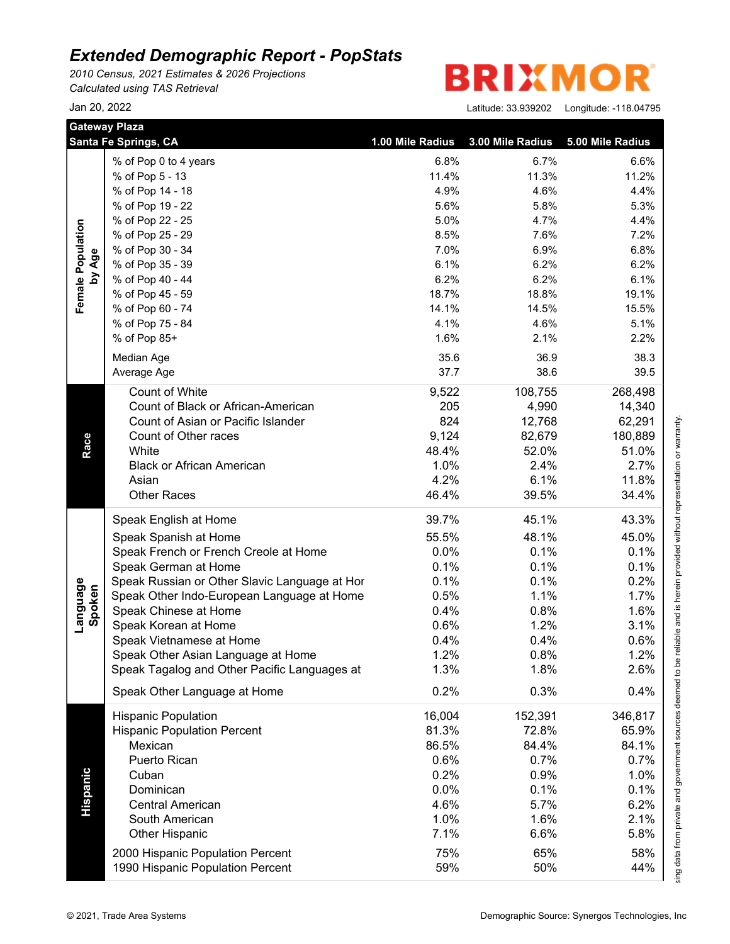*2010 Census, 2021 Estimates & 2026 Projections Calculated using TAS Retrieval*

#### **BRIXMO** R

| <b>Gateway Plaza</b> | Santa Fe Springs, CA                          | 1.00 Mile Radius | 3.00 Mile Radius | 5.00 Mile Radius |
|----------------------|-----------------------------------------------|------------------|------------------|------------------|
|                      | % of Pop 0 to 4 years                         | 6.8%             | 6.7%             | 6.6%             |
|                      | % of Pop 5 - 13                               | 11.4%            | 11.3%            | 11.2%            |
|                      | % of Pop 14 - 18                              | 4.9%             | 4.6%             | 4.4%             |
|                      | % of Pop 19 - 22                              | 5.6%             | 5.8%             | 5.3%             |
| Female Population    | % of Pop 22 - 25                              | 5.0%             | 4.7%             | 4.4%             |
|                      | % of Pop 25 - 29                              | 8.5%             | 7.6%             | 7.2%             |
|                      | % of Pop 30 - 34                              | 7.0%             | 6.9%             | 6.8%             |
| by Age               | % of Pop 35 - 39                              | 6.1%             | 6.2%             | 6.2%             |
|                      | % of Pop 40 - 44                              | 6.2%             | 6.2%             | 6.1%             |
|                      | % of Pop 45 - 59                              | 18.7%            | 18.8%            | 19.1%            |
|                      | % of Pop 60 - 74                              | 14.1%            | 14.5%            | 15.5%            |
|                      | % of Pop 75 - 84                              | 4.1%             | 4.6%             | 5.1%             |
|                      | % of Pop 85+                                  | 1.6%             | 2.1%             | 2.2%             |
|                      | Median Age                                    | 35.6             | 36.9             | 38.3             |
|                      | Average Age                                   | 37.7             | 38.6             | 39.5             |
|                      |                                               |                  |                  |                  |
|                      | Count of White                                | 9,522            | 108,755          | 268,498          |
|                      | Count of Black or African-American            | 205              | 4,990            | 14,340           |
|                      | Count of Asian or Pacific Islander            | 824              | 12,768           | 62,291           |
|                      | Count of Other races                          | 9,124            | 82,679           | 180,889          |
| Race                 | White                                         | 48.4%            | 52.0%            | 51.0%            |
|                      | <b>Black or African American</b>              | 1.0%             | 2.4%             | 2.7%             |
|                      | Asian                                         | 4.2%             | 6.1%             | 11.8%            |
|                      | <b>Other Races</b>                            | 46.4%            | 39.5%            | 34.4%            |
|                      | Speak English at Home                         | 39.7%            | 45.1%            | 43.3%            |
|                      | Speak Spanish at Home                         | 55.5%            | 48.1%            | 45.0%            |
|                      | Speak French or French Creole at Home         | 0.0%             | 0.1%             | 0.1%             |
|                      | Speak German at Home                          | 0.1%             | 0.1%             | 0.1%             |
|                      | Speak Russian or Other Slavic Language at Hor | 0.1%             | 0.1%             | 0.2%             |
|                      | Speak Other Indo-European Language at Home    | 0.5%             | 1.1%             | 1.7%             |
|                      | Speak Chinese at Home                         | 0.4%             | 0.8%             | 1.6%             |
| Language<br>Spoken   | Speak Korean at Home                          | 0.6%             | 1.2%             | 3.1%             |
|                      | Speak Vietnamese at Home                      | 0.4%             | 0.4%             | 0.6%             |
|                      | Speak Other Asian Language at Home            | 1.2%             | 0.8%             | 1.2%             |
|                      | Speak Tagalog and Other Pacific Languages at  | 1.3%             | 1.8%             | 2.6%             |
|                      | Speak Other Language at Home                  | 0.2%             | 0.3%             | 0.4%             |
|                      | <b>Hispanic Population</b>                    | 16,004           | 152,391          | 346,817          |
|                      | <b>Hispanic Population Percent</b>            | 81.3%            | 72.8%            | 65.9%            |
|                      | Mexican                                       | 86.5%            | 84.4%            | 84.1%            |
|                      | Puerto Rican                                  | 0.6%             | 0.7%             | 0.7%             |
|                      | Cuban                                         | 0.2%             | 0.9%             | 1.0%             |
|                      | Dominican                                     | 0.0%             | 0.1%             | 0.1%             |
|                      | <b>Central American</b>                       | 4.6%             | 5.7%             | 6.2%             |
| Hispanic             |                                               |                  |                  |                  |
|                      | South American                                | 1.0%             | 1.6%             | 2.1%             |
|                      | <b>Other Hispanic</b>                         | 7.1%             | 6.6%             | 5.8%             |
|                      | 2000 Hispanic Population Percent              | 75%              | 65%              | 58%              |
|                      | 1990 Hispanic Population Percent              | 59%              | 50%              | 44%              |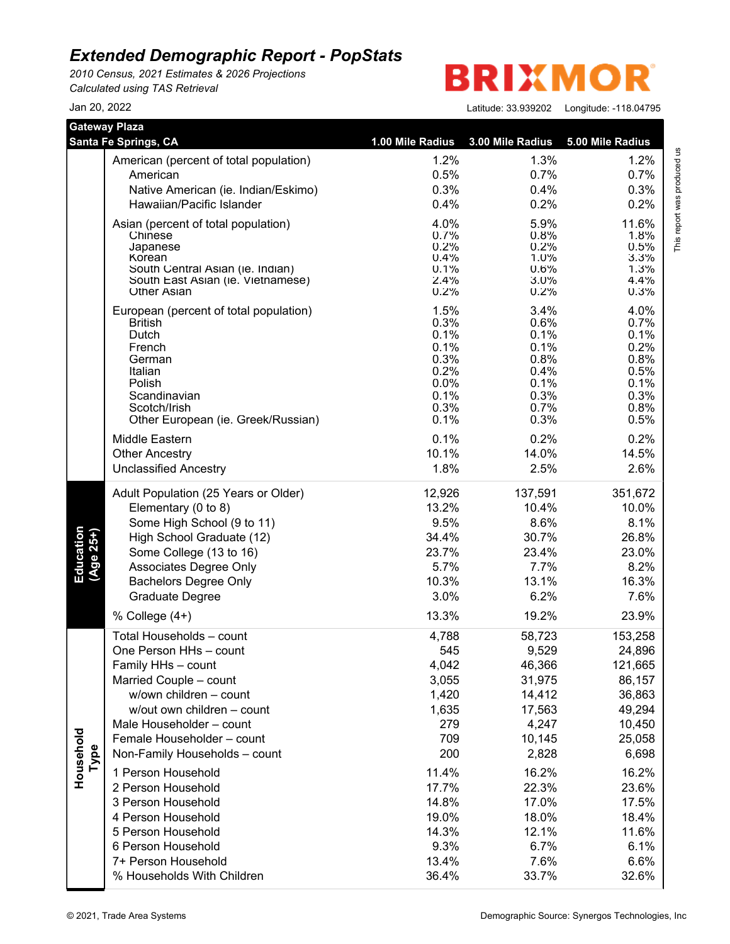*2010 Census, 2021 Estimates & 2026 Projections Calculated using TAS Retrieval*

**BRIXMO** R

Jan 20, 2022 Latitude: 33.939202 Longitude: -118.04795

This report was produced us<br>T

This report was produced us

|                        | <b>Gateway Plaza</b>                   |                  |                  |                  |
|------------------------|----------------------------------------|------------------|------------------|------------------|
|                        | Santa Fe Springs, CA                   | 1.00 Mile Radius | 3.00 Mile Radius | 5.00 Mile Radius |
|                        | American (percent of total population) | 1.2%             | 1.3%             | 1.2%             |
|                        | American                               | 0.5%             | 0.7%             | 0.7%             |
|                        | Native American (ie. Indian/Eskimo)    | 0.3%             | 0.4%             | 0.3%             |
|                        | Hawaiian/Pacific Islander              | 0.4%             | 0.2%             | 0.2%             |
|                        | Asian (percent of total population)    | 4.0%             | 5.9%             | 11.6%            |
|                        | Chinese                                | 0.7%             | 0.8%             | 1.8%             |
|                        | Japanese<br>Korean                     | 0.2%<br>0.4%     | $0.2\%$<br>1.0%  | 0.5%<br>3.3%     |
|                        | South Central Asian (ie. Indian)       | 0.1%             | 0.6%             | 1.3%             |
|                        | South East Asian (ie. Vietnamese)      | 2.4%             | 3.0%             | 4.4%             |
|                        | <b>Other Asian</b>                     | 0.2%             | 0.2%             | 0.3%             |
|                        | European (percent of total population) | 1.5%             | 3.4%             | 4.0%             |
|                        | <b>British</b>                         | 0.3%             | 0.6%             | 0.7%             |
|                        | Dutch                                  | 0.1%<br>0.1%     | 0.1%<br>0.1%     | 0.1%<br>0.2%     |
|                        | French<br>German                       | 0.3%             | 0.8%             | 0.8%             |
|                        | Italian                                | 0.2%             | 0.4%             | 0.5%             |
|                        | Polish                                 | 0.0%             | 0.1%             | 0.1%             |
|                        | Scandinavian                           | 0.1%             | 0.3%             | 0.3%             |
|                        | Scotch/Irish                           | 0.3%             | 0.7%             | 0.8%             |
|                        | Other European (ie. Greek/Russian)     | 0.1%             | 0.3%             | 0.5%             |
|                        | Middle Eastern                         | 0.1%             | 0.2%             | 0.2%             |
|                        | <b>Other Ancestry</b>                  | 10.1%            | 14.0%            | 14.5%            |
|                        | <b>Unclassified Ancestry</b>           | 1.8%             | 2.5%             | 2.6%             |
|                        | Adult Population (25 Years or Older)   | 12,926           | 137,591          | 351,672          |
|                        | Elementary (0 to 8)                    | 13.2%            | 10.4%            | 10.0%            |
|                        | Some High School (9 to 11)             | 9.5%             | 8.6%             | 8.1%             |
|                        | High School Graduate (12)              | 34.4%            | 30.7%            | 26.8%            |
|                        | Some College (13 to 16)                | 23.7%            | 23.4%            | 23.0%            |
| Education<br>(Age 25+) | Associates Degree Only                 | 5.7%             | 7.7%             | 8.2%             |
|                        | <b>Bachelors Degree Only</b>           | 10.3%            | 13.1%            | 16.3%            |
|                        | Graduate Degree                        | 3.0%             | 6.2%             | 7.6%             |
|                        | % College (4+)                         | 13.3%            | 19.2%            | 23.9%            |
|                        | Total Households - count               | 4,788            | 58,723           | 153,258          |
|                        | One Person HHs - count                 | 545              | 9,529            | 24,896           |
|                        | Family HHs - count                     | 4,042            | 46,366           | 121,665          |
|                        | Married Couple - count                 | 3,055            | 31,975           | 86,157           |
|                        | w/own children - count                 | 1,420            | 14,412           | 36,863           |
|                        | w/out own children - count             | 1,635            | 17,563           | 49,294           |
|                        | Male Householder - count               | 279              | 4,247            | 10,450           |
|                        | Female Householder - count             | 709              | 10,145           | 25,058           |
| Household              | Non-Family Households - count          | 200              | 2,828            | 6,698            |
| Type                   |                                        |                  |                  |                  |
|                        | 1 Person Household                     | 11.4%            | 16.2%            | 16.2%            |
|                        | 2 Person Household                     | 17.7%            | 22.3%            | 23.6%            |
|                        | 3 Person Household                     | 14.8%            | 17.0%            | 17.5%            |
|                        | 4 Person Household                     | 19.0%            | 18.0%            | 18.4%            |
|                        | 5 Person Household                     | 14.3%            | 12.1%            | 11.6%            |
|                        | 6 Person Household                     | 9.3%             | 6.7%             | 6.1%             |
|                        | 7+ Person Household                    | 13.4%            | 7.6%             | 6.6%             |
|                        | % Households With Children             | 36.4%            | 33.7%            | 32.6%            |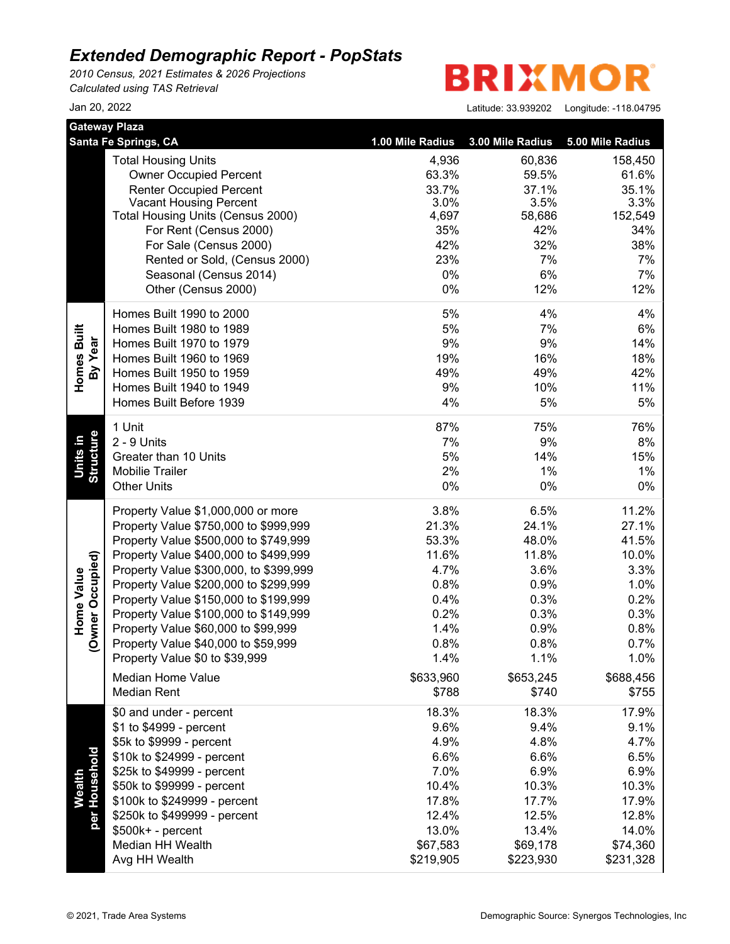*2010 Census, 2021 Estimates & 2026 Projections Calculated using TAS Retrieval*

**BRIXMO** R

|                                | <b>Gateway Plaza</b>                                    |                  |                  |                  |  |
|--------------------------------|---------------------------------------------------------|------------------|------------------|------------------|--|
|                                | Santa Fe Springs, CA                                    | 1.00 Mile Radius | 3.00 Mile Radius | 5.00 Mile Radius |  |
|                                | <b>Total Housing Units</b>                              | 4,936            | 60,836           | 158,450          |  |
|                                | <b>Owner Occupied Percent</b>                           | 63.3%            | 59.5%            | 61.6%            |  |
|                                | <b>Renter Occupied Percent</b>                          | 33.7%            | 37.1%            | 35.1%            |  |
|                                | <b>Vacant Housing Percent</b>                           | 3.0%             | 3.5%             | 3.3%             |  |
|                                | Total Housing Units (Census 2000)                       | 4,697            | 58,686           | 152,549          |  |
|                                | For Rent (Census 2000)                                  | 35%<br>42%       | 42%<br>32%       | 34%              |  |
|                                | For Sale (Census 2000)                                  | 23%              | 7%               | 38%<br>7%        |  |
|                                | Rented or Sold, (Census 2000)<br>Seasonal (Census 2014) | 0%               | 6%               | 7%               |  |
|                                | Other (Census 2000)                                     | 0%               | 12%              | 12%              |  |
|                                |                                                         |                  |                  |                  |  |
|                                | Homes Built 1990 to 2000                                | 5%               | 4%               | 4%               |  |
| Homes Built                    | Homes Built 1980 to 1989                                | 5%               | 7%               | 6%               |  |
|                                | Homes Built 1970 to 1979                                | 9%               | 9%               | 14%              |  |
| By Year                        | Homes Built 1960 to 1969                                | 19%              | 16%              | 18%              |  |
|                                | Homes Built 1950 to 1959                                | 49%              | 49%              | 42%              |  |
|                                | Homes Built 1940 to 1949                                | 9%               | 10%              | 11%              |  |
|                                | Homes Built Before 1939                                 | 4%               | 5%               | 5%               |  |
|                                | 1 Unit                                                  | 87%              | 75%              | 76%              |  |
| ۵Ì                             | 2 - 9 Units                                             | 7%               | 9%               | 8%               |  |
| Units                          | Greater than 10 Units                                   | 5%               | 14%              | 15%              |  |
| <b>Structure</b>               | <b>Mobilie Trailer</b>                                  | 2%               | 1%               | 1%               |  |
|                                | <b>Other Units</b>                                      | 0%               | 0%               | 0%               |  |
|                                | Property Value \$1,000,000 or more                      | 3.8%             | 6.5%             | 11.2%            |  |
|                                | Property Value \$750,000 to \$999,999                   | 21.3%            | 24.1%            | 27.1%            |  |
|                                | Property Value \$500,000 to \$749,999                   | 53.3%            | 48.0%            | 41.5%            |  |
|                                | Property Value \$400,000 to \$499,999                   | 11.6%            | 11.8%            | 10.0%            |  |
|                                | Property Value \$300,000, to \$399,999                  | 4.7%             | 3.6%             | 3.3%             |  |
|                                | Property Value \$200,000 to \$299,999                   | 0.8%             | 0.9%             | 1.0%             |  |
| (Owner Occupied)<br>Home Value | Property Value \$150,000 to \$199,999                   | 0.4%             | 0.3%             | 0.2%             |  |
|                                | Property Value \$100,000 to \$149,999                   | 0.2%             | 0.3%             | 0.3%             |  |
|                                | Property Value \$60,000 to \$99,999                     | 1.4%             | 0.9%             | 0.8%             |  |
|                                | Property Value \$40,000 to \$59,999                     | 0.8%             | 0.8%             | 0.7%             |  |
|                                | Property Value \$0 to \$39,999                          | 1.4%             | 1.1%             | 1.0%             |  |
|                                | Median Home Value                                       | \$633,960        | \$653,245        | \$688,456        |  |
|                                | <b>Median Rent</b>                                      | \$788            | \$740            | \$755            |  |
|                                | \$0 and under - percent                                 | 18.3%            | 18.3%            | 17.9%            |  |
|                                | \$1 to \$4999 - percent                                 | 9.6%             | 9.4%             | 9.1%             |  |
|                                | \$5k to \$9999 - percent                                | 4.9%             | 4.8%             | 4.7%             |  |
|                                | \$10k to \$24999 - percent                              | 6.6%             | 6.6%             | 6.5%             |  |
| Wealth<br>per Household        | \$25k to \$49999 - percent                              | 7.0%             | 6.9%             | 6.9%             |  |
|                                | \$50k to \$99999 - percent                              | 10.4%            | 10.3%            | 10.3%            |  |
|                                | \$100k to \$249999 - percent                            | 17.8%            | 17.7%            | 17.9%            |  |
|                                | \$250k to \$499999 - percent                            | 12.4%            | 12.5%            | 12.8%            |  |
|                                | \$500k+ - percent                                       | 13.0%            | 13.4%            | 14.0%            |  |
|                                | Median HH Wealth                                        | \$67,583         | \$69,178         | \$74,360         |  |
|                                | Avg HH Wealth                                           | \$219,905        | \$223,930        | \$231,328        |  |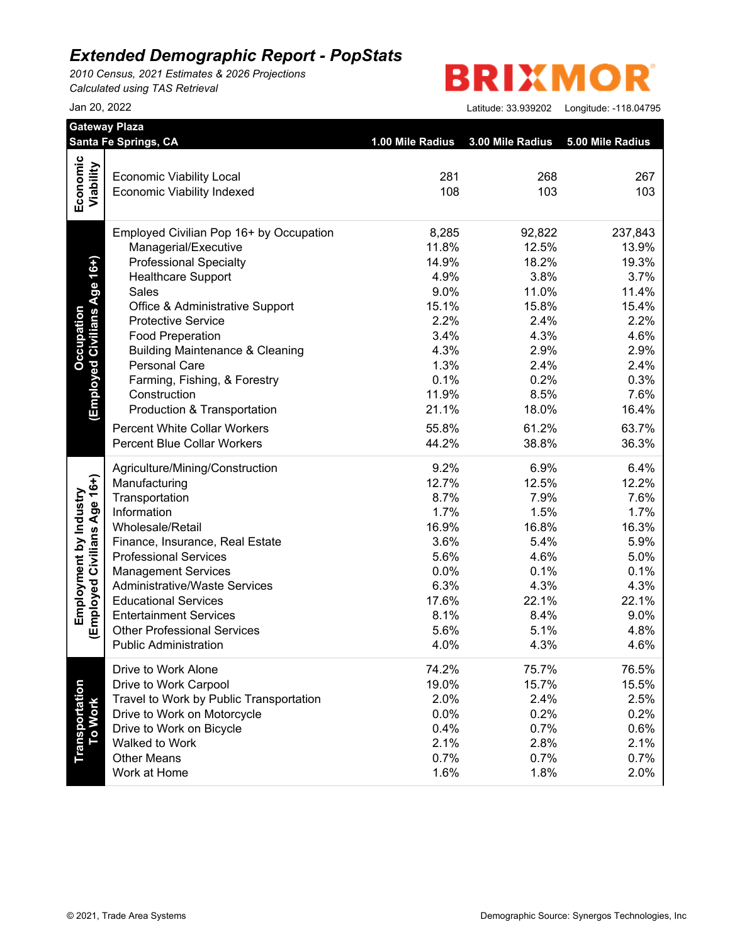*2010 Census, 2021 Estimates & 2026 Projections Calculated using TAS Retrieval*

# **BRIXMOR**

|                              | Santa Fe Springs, CA                                         | 1.00 Mile Radius | 3.00 Mile Radius | 5.00 Mile Radius |
|------------------------------|--------------------------------------------------------------|------------------|------------------|------------------|
| Economic                     |                                                              |                  |                  |                  |
|                              | <b>Economic Viability Local</b>                              | 281<br>108       | 268<br>103       | 267<br>103       |
| Viability                    | <b>Economic Viability Indexed</b>                            |                  |                  |                  |
|                              | Employed Civilian Pop 16+ by Occupation                      | 8,285            | 92,822           | 237,843          |
|                              | Managerial/Executive                                         | 11.8%            | 12.5%            | 13.9%            |
| (Employed Civilians Age 16+) | <b>Professional Specialty</b>                                | 14.9%            | 18.2%            | 19.3%            |
|                              | <b>Healthcare Support</b>                                    | 4.9%             | 3.8%             | 3.7%             |
|                              | Sales                                                        | 9.0%             | 11.0%            | 11.4%            |
|                              | Office & Administrative Support                              | 15.1%            | 15.8%            | 15.4%            |
|                              | <b>Protective Service</b>                                    | 2.2%             | 2.4%             | 2.2%             |
|                              | <b>Food Preperation</b>                                      | 3.4%             | 4.3%             | 4.6%             |
|                              | <b>Building Maintenance &amp; Cleaning</b>                   | 4.3%             | 2.9%             | 2.9%             |
|                              | <b>Personal Care</b>                                         | 1.3%             | 2.4%             | 2.4%             |
|                              | Farming, Fishing, & Forestry                                 | 0.1%             | 0.2%             | 0.3%             |
|                              | Construction                                                 | 11.9%            | 8.5%             | 7.6%             |
|                              | Production & Transportation                                  | 21.1%            | 18.0%            | 16.4%            |
|                              | <b>Percent White Collar Workers</b>                          | 55.8%            | 61.2%            | 63.7%            |
|                              | <b>Percent Blue Collar Workers</b>                           | 44.2%            | 38.8%            | 36.3%            |
|                              | Agriculture/Mining/Construction                              | 9.2%             | 6.9%             | 6.4%             |
|                              | Manufacturing                                                | 12.7%            | 12.5%            | 12.2%            |
|                              | Transportation                                               | 8.7%             | 7.9%             | 7.6%             |
|                              | Information                                                  | 1.7%             | 1.5%             | 1.7%             |
|                              | Wholesale/Retail                                             | 16.9%            | 16.8%            | 16.3%            |
|                              | Finance, Insurance, Real Estate                              | 3.6%             | 5.4%             | 5.9%             |
|                              | <b>Professional Services</b>                                 | 5.6%             | 4.6%             | 5.0%             |
|                              | <b>Management Services</b>                                   | 0.0%             | 0.1%             | 0.1%             |
|                              | <b>Administrative/Waste Services</b>                         | 6.3%             | 4.3%             | 4.3%             |
|                              | <b>Educational Services</b><br><b>Entertainment Services</b> | 17.6%<br>8.1%    | 22.1%            | 22.1%            |
| (Employed Civilians Age 16+) | <b>Other Professional Services</b>                           | 5.6%             | 8.4%<br>5.1%     | 9.0%<br>4.8%     |
|                              | <b>Public Administration</b>                                 | 4.0%             | 4.3%             | 4.6%             |
|                              | Drive to Work Alone                                          | 74.2%            | 75.7%            | 76.5%            |
|                              | Drive to Work Carpool                                        | 19.0%            | 15.7%            | 15.5%            |
|                              | Travel to Work by Public Transportation                      | 2.0%             | 2.4%             | 2.5%             |
|                              | Drive to Work on Motorcycle                                  | 0.0%             | 0.2%             | 0.2%             |
| <b>To Work</b>               | Drive to Work on Bicycle                                     | 0.4%             | 0.7%             | 0.6%             |
|                              | Walked to Work                                               | 2.1%             | 2.8%             | 2.1%             |
|                              | <b>Other Means</b>                                           | 0.7%             | 0.7%             | 0.7%             |
|                              | Work at Home                                                 | 1.6%             | 1.8%             | 2.0%             |